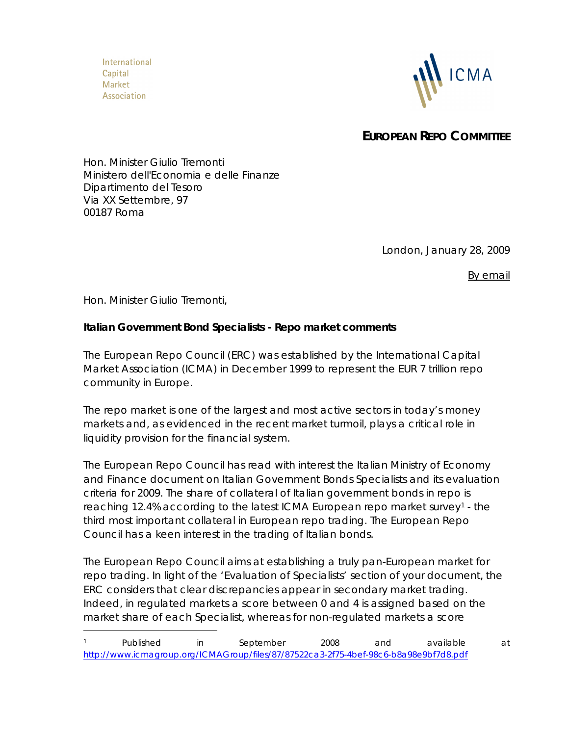International Capital **Market** Association



**EUROPEAN REPO COMMITTEE**

Hon. Minister Giulio Tremonti Ministero dell'Economia e delle Finanze Dipartimento del Tesoro Via XX Settembre, 97 00187 Roma

London, January 28, 2009

*By email*

Hon. Minister Giulio Tremonti,

**Italian Government Bond Specialists - Repo market comments**

The European Repo Council (ERC) was established by the International Capital Market Association (ICMA) in December 1999 to represent the EUR 7 trillion repo community in Europe.

The repo market is one of the largest and most active sectors in today's money markets and, as evidenced in the recent market turmoil, plays a critical role in liquidity provision for the financial system.

The European Repo Council has read with interest the Italian Ministry of Economy and Finance document on Italian Government Bonds Specialists and its evaluation criteria for 2009. The share of collateral of Italian government bonds in repo is reaching 12.4% according to the latest ICMA European repo market survey<sup>1</sup> - the third most important collateral in European repo trading. The European Repo Council has a keen interest in the trading of Italian bonds.

The European Repo Council aims at establishing a truly pan-European market for repo trading. In light of the 'Evaluation of Specialists' section of your document, the ERC considers that clear discrepancies appear in secondary market trading. Indeed, in regulated markets a score between 0 and 4 is assigned based on the market share of each Specialist, whereas for non-regulated markets a score

<sup>1</sup> Published in September 2008 and available at http://www.icmagroup.org/ICMAGroup/files/87/87522ca3-2f75-4bef-98c6-b8a98e9bf7d8.pdf